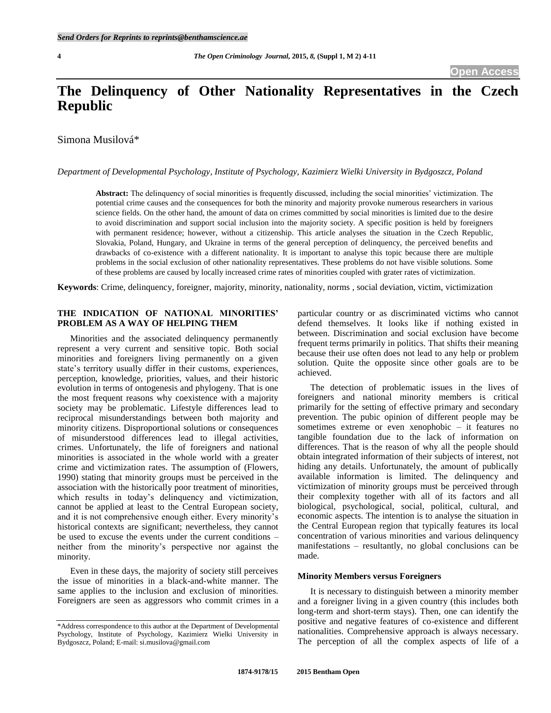# **The Delinquency of Other Nationality Representatives in the Czech Republic**

Simona Musilová\*

*Department of Developmental Psychology, Institute of Psychology, Kazimierz Wielki University in Bydgoszcz, Poland*

Abstract: The delinquency of social minorities is frequently discussed, including the social minorities' victimization. The potential crime causes and the consequences for both the minority and majority provoke numerous researchers in various science fields. On the other hand, the amount of data on crimes committed by social minorities is limited due to the desire to avoid discrimination and support social inclusion into the majority society. A specific position is held by foreigners with permanent residence; however, without a citizenship. This article analyses the situation in the Czech Republic, Slovakia, Poland, Hungary, and Ukraine in terms of the general perception of delinquency, the perceived benefits and drawbacks of co-existence with a different nationality. It is important to analyse this topic because there are multiple problems in the social exclusion of other nationality representatives. These problems do not have visible solutions. Some of these problems are caused by locally increased crime rates of minorities coupled with grater rates of victimization.

**Keywords**: Crime, delinquency, foreigner, majority, minority, nationality, norms , social deviation, victim, victimization

# **THE INDICATION OF NATIONAL MINORITIES' PROBLEM AS A WAY OF HELPING THEM**

Minorities and the associated delinquency permanently represent a very current and sensitive topic. Both social minorities and foreigners living permanently on a given state's territory usually differ in their customs, experiences, perception, knowledge, priorities, values, and their historic evolution in terms of ontogenesis and phylogeny. That is one the most frequent reasons why coexistence with a majority society may be problematic. Lifestyle differences lead to reciprocal misunderstandings between both majority and minority citizens. Disproportional solutions or consequences of misunderstood differences lead to illegal activities, crimes. Unfortunately, the life of foreigners and national minorities is associated in the whole world with a greater crime and victimization rates. The assumption of (Flowers, 1990) stating that minority groups must be perceived in the association with the historically poor treatment of minorities, which results in today's delinquency and victimization, cannot be applied at least to the Central European society, and it is not comprehensive enough either. Every minority's historical contexts are significant; nevertheless, they cannot be used to excuse the events under the current conditions – neither from the minority's perspective nor against the minority.

Even in these days, the majority of society still perceives the issue of minorities in a black-and-white manner. The same applies to the inclusion and exclusion of minorities. Foreigners are seen as aggressors who commit crimes in a particular country or as discriminated victims who cannot defend themselves. It looks like if nothing existed in between. Discrimination and social exclusion have become frequent terms primarily in politics. That shifts their meaning because their use often does not lead to any help or problem solution. Quite the opposite since other goals are to be achieved.

The detection of problematic issues in the lives of foreigners and national minority members is critical primarily for the setting of effective primary and secondary prevention. The pubic opinion of different people may be sometimes extreme or even xenophobic – it features no tangible foundation due to the lack of information on differences. That is the reason of why all the people should obtain integrated information of their subjects of interest, not hiding any details. Unfortunately, the amount of publically available information is limited. The delinquency and victimization of minority groups must be perceived through their complexity together with all of its factors and all biological, psychological, social, political, cultural, and economic aspects. The intention is to analyse the situation in the Central European region that typically features its local concentration of various minorities and various delinquency manifestations – resultantly, no global conclusions can be made.

#### **Minority Members versus Foreigners**

It is necessary to distinguish between a minority member and a foreigner living in a given country (this includes both long-term and short-term stays). Then, one can identify the positive and negative features of co-existence and different nationalities. Comprehensive approach is always necessary. The perception of all the complex aspects of life of a

<sup>\*</sup>Address correspondence to this author at the Department of Developmental Psychology, Institute of Psychology, Kazimierz Wielki University in Bydgoszcz, Poland; E-mail: si.musilova@gmail.com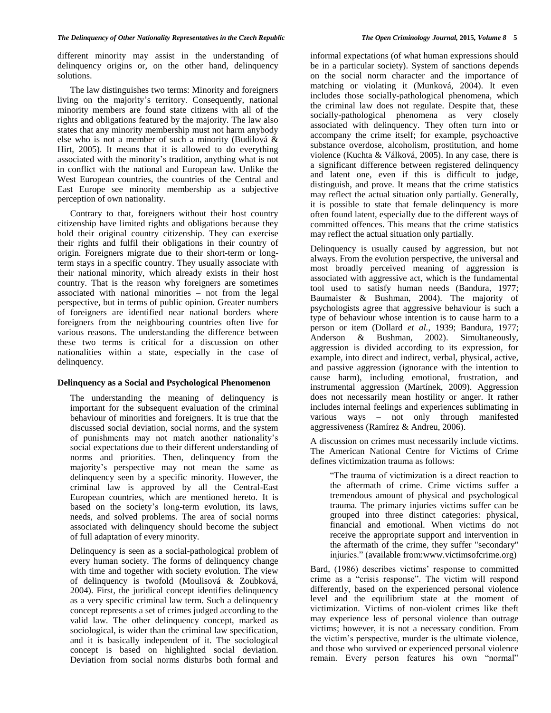different minority may assist in the understanding of delinquency origins or, on the other hand, delinquency solutions.

The law distinguishes two terms: Minority and foreigners living on the majority's territory. Consequently, national minority members are found state citizens with all of the rights and obligations featured by the majority. The law also states that any minority membership must not harm anybody else who is not a member of such a minority (Budilová & Hirt, 2005). It means that it is allowed to do everything associated with the minority's tradition, anything what is not in conflict with the national and European law. Unlike the West European countries, the countries of the Central and East Europe see minority membership as a subjective perception of own nationality.

Contrary to that, foreigners without their host country citizenship have limited rights and obligations because they hold their original country citizenship. They can exercise their rights and fulfil their obligations in their country of origin. Foreigners migrate due to their short-term or longterm stays in a specific country. They usually associate with their national minority, which already exists in their host country. That is the reason why foreigners are sometimes associated with national minorities – not from the legal perspective, but in terms of public opinion. Greater numbers of foreigners are identified near national borders where foreigners from the neighbouring countries often live for various reasons. The understanding the difference between these two terms is critical for a discussion on other nationalities within a state, especially in the case of delinquency.

# **Delinquency as a Social and Psychological Phenomenon**

The understanding the meaning of delinquency is important for the subsequent evaluation of the criminal behaviour of minorities and foreigners. It is true that the discussed social deviation, social norms, and the system of punishments may not match another nationality's social expectations due to their different understanding of norms and priorities. Then, delinquency from the majority's perspective may not mean the same as delinquency seen by a specific minority. However, the criminal law is approved by all the Central-East European countries, which are mentioned hereto. It is based on the society's long-term evolution, its laws, needs, and solved problems. The area of social norms associated with delinquency should become the subject of full adaptation of every minority.

Delinquency is seen as a social-pathological problem of every human society. The forms of delinquency change with time and together with society evolution. The view of delinquency is twofold (Moulisová & Zoubková, 2004). First, the juridical concept identifies delinquency as a very specific criminal law term. Such a delinquency concept represents a set of crimes judged according to the valid law. The other delinquency concept, marked as sociological, is wider than the criminal law specification, and it is basically independent of it. The sociological concept is based on highlighted social deviation. Deviation from social norms disturbs both formal and

informal expectations (of what human expressions should be in a particular society). System of sanctions depends on the social norm character and the importance of matching or violating it (Munková, 2004). It even includes those socially-pathological phenomena, which the criminal law does not regulate. Despite that, these socially-pathological phenomena as very closely associated with delinquency. They often turn into or accompany the crime itself; for example, psychoactive substance overdose, alcoholism, prostitution, and home violence (Kuchta & Válková, 2005). In any case, there is a significant difference between registered delinquency and latent one, even if this is difficult to judge, distinguish, and prove. It means that the crime statistics may reflect the actual situation only partially. Generally, it is possible to state that female delinquency is more often found latent, especially due to the different ways of committed offences. This means that the crime statistics may reflect the actual situation only partially.

Delinquency is usually caused by aggression, but not always. From the evolution perspective, the universal and most broadly perceived meaning of aggression is associated with aggressive act, which is the fundamental tool used to satisfy human needs (Bandura, 1977; Baumaister & Bushman, 2004). The majority of psychologists agree that aggressive behaviour is such a type of behaviour whose intention is to cause harm to a person or item (Dollard *et al.*, 1939; Bandura, 1977; Anderson & Bushman, 2002). Simultaneously, aggression is divided according to its expression, for example, into direct and indirect, verbal, physical, active, and passive aggression (ignorance with the intention to cause harm), including emotional, frustration, and instrumental aggression (Martínek, 2009). Aggression does not necessarily mean hostility or anger. It rather includes internal feelings and experiences sublimating in various ways – not only through manifested aggressiveness (Ramírez & Andreu, 2006).

A discussion on crimes must necessarily include victims. The American National Centre for Victims of Crime defines victimization trauma as follows:

"The trauma of victimization is a direct reaction to the aftermath of crime. Crime victims suffer a tremendous amount of physical and psychological trauma. The primary injuries victims suffer can be grouped into three distinct categories: physical, financial and emotional. When victims do not receive the appropriate support and intervention in the aftermath of the crime, they suffer "secondary" injuries." (available from:www.victimsofcrime.org)

Bard, (1986) describes victims' response to committed crime as a "crisis response". The victim will respond differently, based on the experienced personal violence level and the equilibrium state at the moment of victimization. Victims of non-violent crimes like theft may experience less of personal violence than outrage victims; however, it is not a necessary condition. From the victim's perspective, murder is the ultimate violence, and those who survived or experienced personal violence remain. Every person features his own "normal"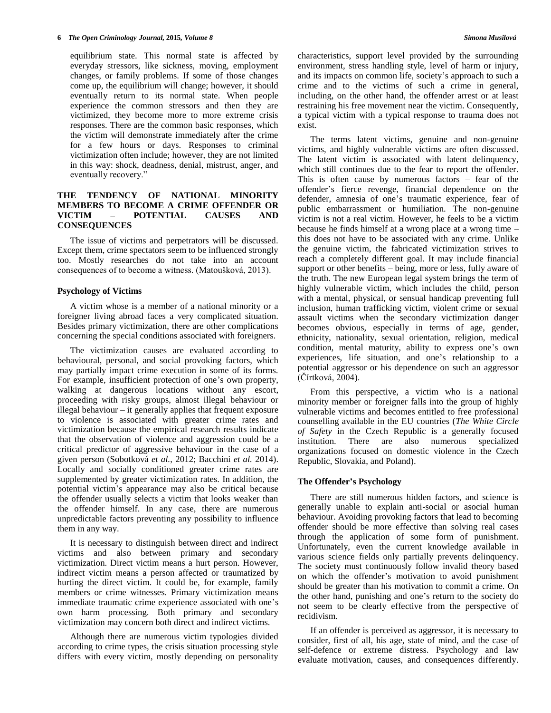equilibrium state. This normal state is affected by everyday stressors, like sickness, moving, employment changes, or family problems. If some of those changes come up, the equilibrium will change; however, it should eventually return to its normal state. When people experience the common stressors and then they are victimized, they become more to more extreme crisis responses. There are the common basic responses, which the victim will demonstrate immediately after the crime for a few hours or days. Responses to criminal victimization often include; however, they are not limited in this way: shock, deadness, denial, mistrust, anger, and eventually recovery."

# **THE TENDENCY OF NATIONAL MINORITY MEMBERS TO BECOME A CRIME OFFENDER OR POTENTIAL CONSEQUENCES**

The issue of victims and perpetrators will be discussed. Except them, crime spectators seem to be influenced strongly too. Mostly researches do not take into an account consequences of to become a witness. (Matoušková, 2013).

# **Psychology of Victims**

A victim whose is a member of a national minority or a foreigner living abroad faces a very complicated situation. Besides primary victimization, there are other complications concerning the special conditions associated with foreigners.

The victimization causes are evaluated according to behavioural, personal, and social provoking factors, which may partially impact crime execution in some of its forms. For example, insufficient protection of one's own property, walking at dangerous locations without any escort, proceeding with risky groups, almost illegal behaviour or illegal behaviour – it generally applies that frequent exposure to violence is associated with greater crime rates and victimization because the empirical research results indicate that the observation of violence and aggression could be a critical predictor of aggressive behaviour in the case of a given person (Sobotková *et al.*, 2012; Bacchini *et al.* 2014). Locally and socially conditioned greater crime rates are supplemented by greater victimization rates. In addition, the potential victim's appearance may also be critical because the offender usually selects a victim that looks weaker than the offender himself. In any case, there are numerous unpredictable factors preventing any possibility to influence them in any way.

It is necessary to distinguish between direct and indirect victims and also between primary and secondary victimization. Direct victim means a hurt person. However, indirect victim means a person affected or traumatized by hurting the direct victim. It could be, for example, family members or crime witnesses. Primary victimization means immediate traumatic crime experience associated with one's own harm processing. Both primary and secondary victimization may concern both direct and indirect victims.

Although there are numerous victim typologies divided according to crime types, the crisis situation processing style differs with every victim, mostly depending on personality

characteristics, support level provided by the surrounding environment, stress handling style, level of harm or injury, and its impacts on common life, society's approach to such a crime and to the victims of such a crime in general, including, on the other hand, the offender arrest or at least restraining his free movement near the victim. Consequently, a typical victim with a typical response to trauma does not exist.

The terms latent victims, genuine and non-genuine victims, and highly vulnerable victims are often discussed. The latent victim is associated with latent delinquency, which still continues due to the fear to report the offender. This is often cause by numerous factors  $-$  fear of the offender's fierce revenge, financial dependence on the defender, amnesia of one's traumatic experience, fear of public embarrassment or humiliation. The non-genuine victim is not a real victim. However, he feels to be a victim because he finds himself at a wrong place at a wrong time – this does not have to be associated with any crime. Unlike the genuine victim, the fabricated victimization strives to reach a completely different goal. It may include financial support or other benefits – being, more or less, fully aware of the truth. The new European legal system brings the term of highly vulnerable victim, which includes the child, person with a mental, physical, or sensual handicap preventing full inclusion, human trafficking victim, violent crime or sexual assault victims when the secondary victimization danger becomes obvious, especially in terms of age, gender, ethnicity, nationality, sexual orientation, religion, medical condition, mental maturity, ability to express one's own experiences, life situation, and one's relationship to a potential aggressor or his dependence on such an aggressor (Čírtková, 2004).

From this perspective, a victim who is a national minority member or foreigner falls into the group of highly vulnerable victims and becomes entitled to free professional counselling available in the EU countries (*The White Circle of Safety* in the Czech Republic is a generally focused institution. There are also numerous specialized organizations focused on domestic violence in the Czech Republic, Slovakia, and Poland).

#### **The Offender's Psychology**

There are still numerous hidden factors, and science is generally unable to explain anti-social or asocial human behaviour. Avoiding provoking factors that lead to becoming offender should be more effective than solving real cases through the application of some form of punishment. Unfortunately, even the current knowledge available in various science fields only partially prevents delinquency. The society must continuously follow invalid theory based on which the offender's motivation to avoid punishment should be greater than his motivation to commit a crime. On the other hand, punishing and one's return to the society do not seem to be clearly effective from the perspective of recidivism.

If an offender is perceived as aggressor, it is necessary to consider, first of all, his age, state of mind, and the case of self-defence or extreme distress. Psychology and law evaluate motivation, causes, and consequences differently.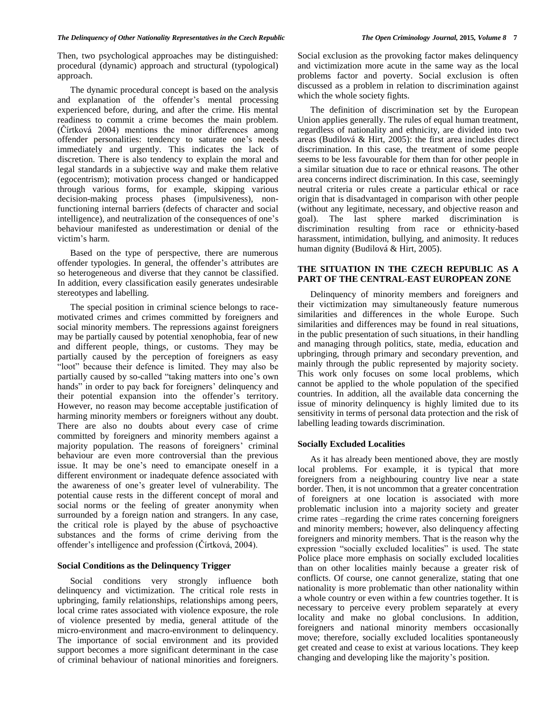Then, two psychological approaches may be distinguished: procedural (dynamic) approach and structural (typological) approach.

The dynamic procedural concept is based on the analysis and explanation of the offender's mental processing experienced before, during, and after the crime. His mental readiness to commit a crime becomes the main problem. (Čírtková 2004) mentions the minor differences among offender personalities: tendency to saturate one's needs immediately and urgently. This indicates the lack of discretion. There is also tendency to explain the moral and legal standards in a subjective way and make them relative (egocentrism); motivation process changed or handicapped through various forms, for example, skipping various decision-making process phases (impulsiveness), nonfunctioning internal barriers (defects of character and social intelligence), and neutralization of the consequences of one's behaviour manifested as underestimation or denial of the victim's harm.

Based on the type of perspective, there are numerous offender typologies. In general, the offender's attributes are so heterogeneous and diverse that they cannot be classified. In addition, every classification easily generates undesirable stereotypes and labelling.

The special position in criminal science belongs to racemotivated crimes and crimes committed by foreigners and social minority members. The repressions against foreigners may be partially caused by potential xenophobia, fear of new and different people, things, or customs. They may be partially caused by the perception of foreigners as easy "loot" because their defence is limited. They may also be partially caused by so-called "taking matters into one's own hands" in order to pay back for foreigners' delinquency and their potential expansion into the offender's territory. However, no reason may become acceptable justification of harming minority members or foreigners without any doubt. There are also no doubts about every case of crime committed by foreigners and minority members against a majority population. The reasons of foreigners' criminal behaviour are even more controversial than the previous issue. It may be one's need to emancipate oneself in a different environment or inadequate defence associated with the awareness of one's greater level of vulnerability. The potential cause rests in the different concept of moral and social norms or the feeling of greater anonymity when surrounded by a foreign nation and strangers. In any case, the critical role is played by the abuse of psychoactive substances and the forms of crime deriving from the offender's intelligence and profession (Čírtková, 2004).

#### **Social Conditions as the Delinquency Trigger**

Social conditions very strongly influence both delinquency and victimization. The critical role rests in upbringing, family relationships, relationships among peers, local crime rates associated with violence exposure, the role of violence presented by media, general attitude of the micro-environment and macro-environment to delinquency. The importance of social environment and its provided support becomes a more significant determinant in the case of criminal behaviour of national minorities and foreigners.

Social exclusion as the provoking factor makes delinquency and victimization more acute in the same way as the local problems factor and poverty. Social exclusion is often discussed as a problem in relation to discrimination against which the whole society fights.

The definition of discrimination set by the European Union applies generally. The rules of equal human treatment, regardless of nationality and ethnicity, are divided into two areas (Budilová & Hirt, 2005): the first area includes direct discrimination. In this case, the treatment of some people seems to be less favourable for them than for other people in a similar situation due to race or ethnical reasons. The other area concerns indirect discrimination. In this case, seemingly neutral criteria or rules create a particular ethical or race origin that is disadvantaged in comparison with other people (without any legitimate, necessary, and objective reason and goal). The last sphere marked discrimination is discrimination resulting from race or ethnicity-based harassment, intimidation, bullying, and animosity. It reduces human dignity (Budilová & Hirt, 2005).

# **THE SITUATION IN THE CZECH REPUBLIC AS A PART OF THE CENTRAL-EAST EUROPEAN ZONE**

Delinquency of minority members and foreigners and their victimization may simultaneously feature numerous similarities and differences in the whole Europe. Such similarities and differences may be found in real situations, in the public presentation of such situations, in their handling and managing through politics, state, media, education and upbringing, through primary and secondary prevention, and mainly through the public represented by majority society. This work only focuses on some local problems, which cannot be applied to the whole population of the specified countries. In addition, all the available data concerning the issue of minority delinquency is highly limited due to its sensitivity in terms of personal data protection and the risk of labelling leading towards discrimination.

#### **Socially Excluded Localities**

As it has already been mentioned above, they are mostly local problems. For example, it is typical that more foreigners from a neighbouring country live near a state border. Then, it is not uncommon that a greater concentration of foreigners at one location is associated with more problematic inclusion into a majority society and greater crime rates –regarding the crime rates concerning foreigners and minority members; however, also delinquency affecting foreigners and minority members. That is the reason why the expression "socially excluded localities" is used. The state Police place more emphasis on socially excluded localities than on other localities mainly because a greater risk of conflicts. Of course, one cannot generalize, stating that one nationality is more problematic than other nationality within a whole country or even within a few countries together. It is necessary to perceive every problem separately at every locality and make no global conclusions. In addition, foreigners and national minority members occasionally move; therefore, socially excluded localities spontaneously get created and cease to exist at various locations. They keep changing and developing like the majority's position.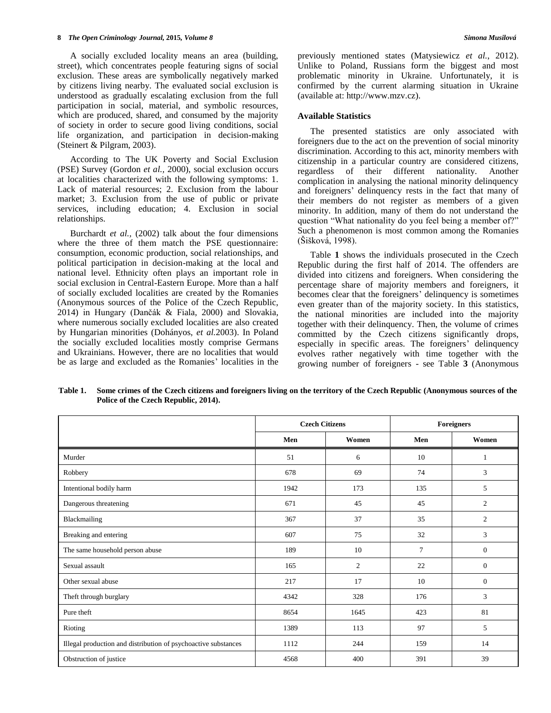A socially excluded locality means an area (building, street), which concentrates people featuring signs of social exclusion. These areas are symbolically negatively marked by citizens living nearby. The evaluated social exclusion is understood as gradually escalating exclusion from the full participation in social, material, and symbolic resources, which are produced, shared, and consumed by the majority of society in order to secure good living conditions, social life organization, and participation in decision-making (Steinert & Pilgram, 2003).

According to The UK Poverty and Social Exclusion (PSE) Survey (Gordon *et al.,* 2000), social exclusion occurs at localities characterized with the following symptoms: 1. Lack of material resources; 2. Exclusion from the labour market; 3. Exclusion from the use of public or private services, including education; 4. Exclusion in social relationships.

Burchardt *et al.,* (2002) talk about the four dimensions where the three of them match the PSE questionnaire: consumption, economic production, social relationships, and political participation in decision-making at the local and national level. Ethnicity often plays an important role in social exclusion in Central-Eastern Europe. More than a half of socially excluded localities are created by the Romanies (Anonymous sources of the Police of the Czech Republic, 2014) in Hungary (Dančák & Fiala, 2000) and Slovakia, where numerous socially excluded localities are also created by Hungarian minorities (Dohányos, *et al.*2003). In Poland the socially excluded localities mostly comprise Germans and Ukrainians. However, there are no localities that would be as large and excluded as the Romanies' localities in the

previously mentioned states (Matysiewicz *et al.*, 2012). Unlike to Poland, Russians form the biggest and most problematic minority in Ukraine. Unfortunately, it is confirmed by the current alarming situation in Ukraine (available at: http://www.mzv.cz).

#### **Available Statistics**

The presented statistics are only associated with foreigners due to the act on the prevention of social minority discrimination. According to this act, minority members with citizenship in a particular country are considered citizens, regardless of their different nationality. Another complication in analysing the national minority delinquency and foreigners' delinquency rests in the fact that many of their members do not register as members of a given minority. In addition, many of them do not understand the question "What nationality do you feel being a member of?" Such a phenomenon is most common among the Romanies (Šišková, 1998).

Table **1** shows the individuals prosecuted in the Czech Republic during the first half of 2014. The offenders are divided into citizens and foreigners. When considering the percentage share of majority members and foreigners, it becomes clear that the foreigners' delinquency is sometimes even greater than of the majority society. In this statistics, the national minorities are included into the majority together with their delinquency. Then, the volume of crimes committed by the Czech citizens significantly drops, especially in specific areas. The foreigners' delinquency evolves rather negatively with time together with the growing number of foreigners - see Table **3** (Anonymous

|                                                                | <b>Czech Citizens</b> |                | <b>Foreigners</b> |                |
|----------------------------------------------------------------|-----------------------|----------------|-------------------|----------------|
|                                                                | Men                   | Women          | Men               | Women          |
| Murder                                                         | 51                    | 6              | 10                | 1              |
| Robbery                                                        | 678                   | 69             | 74                | 3              |
| Intentional bodily harm                                        | 1942                  | 173            | 135               | 5              |
| Dangerous threatening                                          | 671                   | 45             | 45                | $\overline{c}$ |
| Blackmailing                                                   | 367                   | 37             | 35                | 2              |
| Breaking and entering                                          | 607                   | 75             | 32                | 3              |
| The same household person abuse                                | 189                   | 10             | 7                 | $\mathbf{0}$   |
| Sexual assault                                                 | 165                   | $\overline{2}$ | 22                | $\mathbf{0}$   |
| Other sexual abuse                                             | 217                   | 17             | 10                | $\mathbf{0}$   |
| Theft through burglary                                         | 4342                  | 328            | 176               | 3              |
| Pure theft                                                     | 8654                  | 1645           | 423               | 81             |
| Rioting                                                        | 1389                  | 113            | 97                | 5              |
| Illegal production and distribution of psychoactive substances | 1112                  | 244            | 159               | 14             |
| Obstruction of justice                                         | 4568                  | 400            | 391               | 39             |

**Table 1. Some crimes of the Czech citizens and foreigners living on the territory of the Czech Republic (Anonymous sources of the Police of the Czech Republic, 2014).**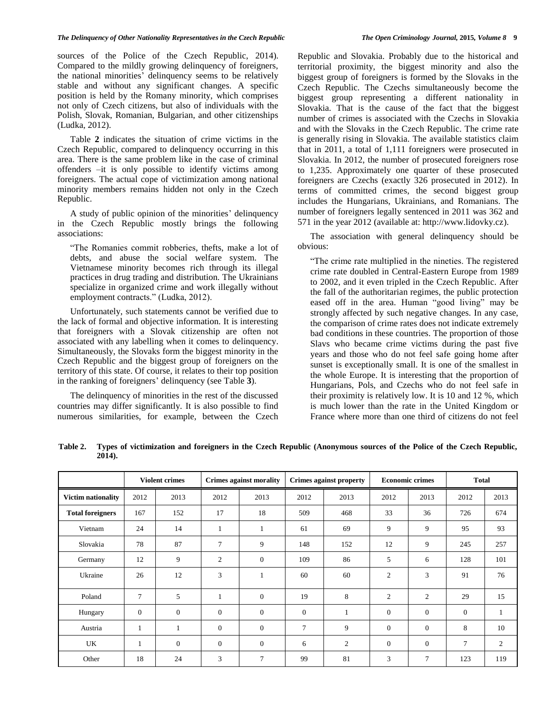sources of the Police of the Czech Republic, 2014). Compared to the mildly growing delinquency of foreigners, the national minorities' delinquency seems to be relatively stable and without any significant changes. A specific position is held by the Romany minority, which comprises not only of Czech citizens, but also of individuals with the Polish, Slovak, Romanian, Bulgarian, and other citizenships (Ludka, 2012).

Table **2** indicates the situation of crime victims in the Czech Republic, compared to delinquency occurring in this area. There is the same problem like in the case of criminal offenders –it is only possible to identify victims among foreigners. The actual cope of victimization among national minority members remains hidden not only in the Czech Republic.

A study of public opinion of the minorities' delinquency in the Czech Republic mostly brings the following associations:

"The Romanies commit robberies, thefts, make a lot of debts, and abuse the social welfare system. The Vietnamese minority becomes rich through its illegal practices in drug trading and distribution. The Ukrainians specialize in organized crime and work illegally without employment contracts." (Ludka, 2012).

Unfortunately, such statements cannot be verified due to the lack of formal and objective information. It is interesting that foreigners with a Slovak citizenship are often not associated with any labelling when it comes to delinquency. Simultaneously, the Slovaks form the biggest minority in the Czech Republic and the biggest group of foreigners on the territory of this state. Of course, it relates to their top position in the ranking of foreigners' delinquency (see Table **3**).

The delinquency of minorities in the rest of the discussed countries may differ significantly. It is also possible to find numerous similarities, for example, between the Czech

Republic and Slovakia. Probably due to the historical and territorial proximity, the biggest minority and also the biggest group of foreigners is formed by the Slovaks in the Czech Republic. The Czechs simultaneously become the biggest group representing a different nationality in Slovakia. That is the cause of the fact that the biggest number of crimes is associated with the Czechs in Slovakia and with the Slovaks in the Czech Republic. The crime rate is generally rising in Slovakia. The available statistics claim that in 2011, a total of 1,111 foreigners were prosecuted in Slovakia. In 2012, the number of prosecuted foreigners rose to 1,235. Approximately one quarter of these prosecuted foreigners are Czechs (exactly 326 prosecuted in 2012). In terms of committed crimes, the second biggest group includes the Hungarians, Ukrainians, and Romanians. The number of foreigners legally sentenced in 2011 was 362 and 571 in the year 2012 (available at: http://www.lidovky.cz).

The association with general delinquency should be obvious:

"The crime rate multiplied in the nineties. The registered crime rate doubled in Central-Eastern Europe from 1989 to 2002, and it even tripled in the Czech Republic. After the fall of the authoritarian regimes, the public protection eased off in the area. Human "good living" may be strongly affected by such negative changes. In any case, the comparison of crime rates does not indicate extremely bad conditions in these countries. The proportion of those Slavs who became crime victims during the past five years and those who do not feel safe going home after sunset is exceptionally small. It is one of the smallest in the whole Europe. It is interesting that the proportion of Hungarians, Pols, and Czechs who do not feel safe in their proximity is relatively low. It is 10 and 12 %, which is much lower than the rate in the United Kingdom or France where more than one third of citizens do not feel

|                           |                | <b>Violent crimes</b> |                  | <b>Crimes against morality</b> |                | <b>Crimes against property</b> | <b>Economic crimes</b> |                | <b>Total</b>   |              |
|---------------------------|----------------|-----------------------|------------------|--------------------------------|----------------|--------------------------------|------------------------|----------------|----------------|--------------|
| <b>Victim nationality</b> | 2012           | 2013                  | 2012             | 2013                           | 2012           | 2013                           | 2012                   | 2013           | 2012           | 2013         |
| <b>Total foreigners</b>   | 167            | 152                   | 17               | 18                             | 509            | 468                            | 33                     | 36             | 726            | 674          |
| Vietnam                   | 24             | 14                    | $\mathbf{1}$     | $\perp$                        | 61             | 69                             | 9                      | 9              | 95             | 93           |
| Slovakia                  | 78             | 87                    | 7                | 9                              | 148            | 152                            | 12                     | 9              | 245            | 257          |
| Germany                   | 12             | 9                     | $\mathfrak{2}$   | $\mathbf{0}$                   | 109            | 86                             | 5                      | 6              | 128            | 101          |
| Ukraine                   | 26             | 12                    | 3                | 1                              | 60             | 60                             | $\overline{c}$         | 3              | 91             | 76           |
| Poland                    | $\overline{7}$ | 5                     | $\mathbf{1}$     | $\mathbf{0}$                   | 19             | 8                              | 2                      | $\mathfrak{2}$ | 29             | 15           |
| Hungary                   | $\mathbf{0}$   | $\mathbf{0}$          | $\boldsymbol{0}$ | $\mathbf{0}$                   | $\overline{0}$ | 1                              | $\overline{0}$         | $\mathbf{0}$   | $\overline{0}$ | $\mathbf{1}$ |
| Austria                   | $\mathbf{1}$   | 1                     | $\boldsymbol{0}$ | $\mathbf{0}$                   | 7              | 9                              | $\Omega$               | $\mathbf{0}$   | 8              | 10           |
| UK                        | $\mathbf{1}$   | $\theta$              | $\boldsymbol{0}$ | $\mathbf{0}$                   | 6              | 2                              | $\overline{0}$         | $\mathbf{0}$   | $\tau$         | 2            |
| Other                     | 18             | 24                    | 3                | 7                              | 99             | 81                             | 3                      | 7              | 123            | 119          |

**Table 2. Types of victimization and foreigners in the Czech Republic (Anonymous sources of the Police of the Czech Republic, 2014).**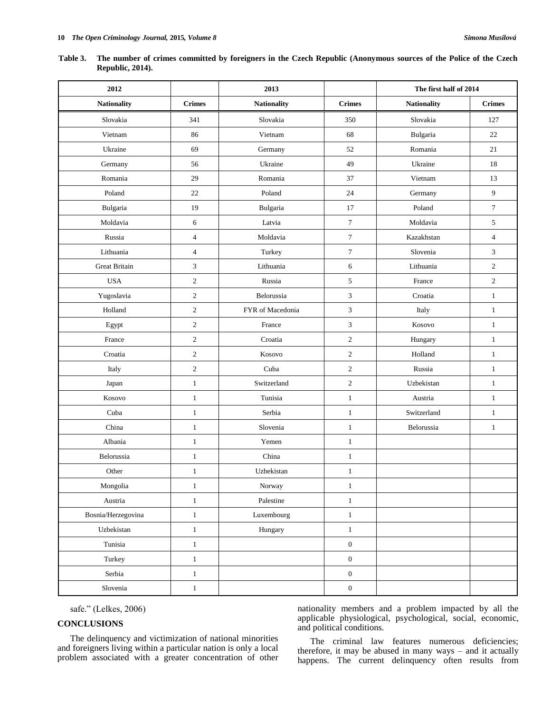| Table 3. The number of crimes committed by foreigners in the Czech Republic (Anonymous sources of the Police of the Czech |
|---------------------------------------------------------------------------------------------------------------------------|
| <b>Republic, 2014).</b>                                                                                                   |

| 2012                 |                         | 2013               |                             | The first half of 2014 |                  |
|----------------------|-------------------------|--------------------|-----------------------------|------------------------|------------------|
| <b>Nationality</b>   | <b>Crimes</b>           | <b>Nationality</b> | <b>Crimes</b>               | <b>Nationality</b>     | <b>Crimes</b>    |
| Slovakia             | 341                     | Slovakia           | 350                         | Slovakia               | 127              |
| Vietnam              | 86                      | Vietnam            | 68                          | Bulgaria               | 22               |
| Ukraine              | 69                      | Germany            | 52                          | Romania                | 21               |
| Germany              | 56                      | Ukraine            | 49                          | Ukraine                | 18               |
| Romania              | 29                      | Romania            | 37                          | Vietnam                | 13               |
| Poland               | 22                      | Poland             | 24                          | Germany                | $\overline{9}$   |
| Bulgaria             | 19                      | Bulgaria           | 17                          | Poland                 | $\boldsymbol{7}$ |
| Moldavia             | 6                       | Latvia             | $\tau$                      | Moldavia               | 5                |
| Russia               | $\overline{\mathbf{4}}$ | Moldavia           | $\boldsymbol{7}$            | Kazakhstan             | $\overline{4}$   |
| Lithuania            | $\overline{4}$          | Turkey             | $\tau$                      | Slovenia               | 3                |
| <b>Great Britain</b> | $\mathfrak{Z}$          | Lithuania          | 6                           | Lithuania              | $\overline{c}$   |
| <b>USA</b>           | $\sqrt{2}$              | Russia             | $\sqrt{5}$                  | France                 | $\sqrt{2}$       |
| Yugoslavia           | $\sqrt{2}$              | Belorussia         | $\ensuremath{\mathfrak{Z}}$ | Croatia                | $\mathbf{1}$     |
| Holland              | $\mathbf{2}$            | FYR of Macedonia   | 3                           | Italy                  | $\mathbf{1}$     |
| Egypt                | $\sqrt{2}$              | France             | $\ensuremath{\mathbf{3}}$   | Kosovo                 | $\mathbf{1}$     |
| France               | $\sqrt{2}$              | Croatia            | $\sqrt{2}$                  | Hungary                | $\mathbf{1}$     |
| Croatia              | $\overline{c}$          | Kosovo             | $\mathfrak{2}$              | Holland                | $\mathbf{1}$     |
| Italy                | $\sqrt{2}$              | Cuba               | $\mathfrak{2}$              | Russia                 | $\mathbf{1}$     |
| Japan                | $\,1$                   | Switzerland        | $\sqrt{2}$                  | Uzbekistan             | $\mathbf{1}$     |
| Kosovo               | $\mathbf{1}$            | Tunisia            | $1\,$                       | Austria                | $\mathbf{1}$     |
| Cuba                 | $\mathbf{1}$            | Serbia             | $\mathbf{1}$                | Switzerland            | $\mathbf{1}$     |
| China                | $\mathbf{1}$            | Slovenia           | $\mathbf{1}$                | Belorussia             | $\mathbf{1}$     |
| Albania              | $\mathbf{1}$            | Yemen              | $\,1\,$                     |                        |                  |
| Belorussia           | $\mathbf{1}$            | China              | $\mathbf{1}$                |                        |                  |
| Other                | $\mathbf{1}$            | Uzbekistan         | $\mathbf{1}$                |                        |                  |
| Mongolia             | $\mathbf{1}$            | Norway             | $\mathbf{1}$                |                        |                  |
| Austria              | $\,1$                   | Palestine          | $\,1\,$                     |                        |                  |
| Bosnia/Herzegovina   | $\mathbf{1}$            | Luxembourg         | $\mathbf{1}$                |                        |                  |
| Uzbekistan           | $\,1\,$                 | Hungary            | $\,1\,$                     |                        |                  |
| Tunisia              | $\mathbf{1}$            |                    | $\boldsymbol{0}$            |                        |                  |
| Turkey               | $\mathbf{1}$            |                    | $\mathbf{0}$                |                        |                  |
| Serbia               | $\mathbf{1}$            |                    | $\boldsymbol{0}$            |                        |                  |
| Slovenia             | $\mathbf{1}$            |                    | $\boldsymbol{0}$            |                        |                  |

safe." (Lelkes, 2006)

# **CONCLUSIONS**

The delinquency and victimization of national minorities and foreigners living within a particular nation is only a local problem associated with a greater concentration of other nationality members and a problem impacted by all the applicable physiological, psychological, social, economic, and political conditions.

The criminal law features numerous deficiencies; therefore, it may be abused in many ways – and it actually happens. The current delinquency often results from